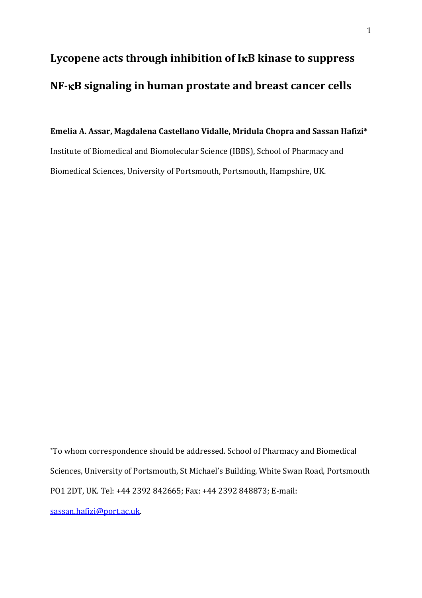# **Lycopene acts through inhibition of IB kinase to suppress NF-B signaling in human prostate and breast cancer cells**

## **Emelia A. Assar, Magdalena Castellano Vidalle, Mridula Chopra and Sassan Hafizi\*** Institute of Biomedical and Biomolecular Science (IBBS), School of Pharmacy and Biomedical Sciences, University of Portsmouth, Portsmouth, Hampshire, UK.

\*To whom correspondence should be addressed. School of Pharmacy and Biomedical Sciences, University of Portsmouth, St Michael's Building, White Swan Road, Portsmouth PO1 2DT, UK. Tel: +44 2392 842665; Fax: +44 2392 848873; E-mail: [sassan.hafizi@port.ac.uk.](mailto:sassan.hafizi@port.ac.uk)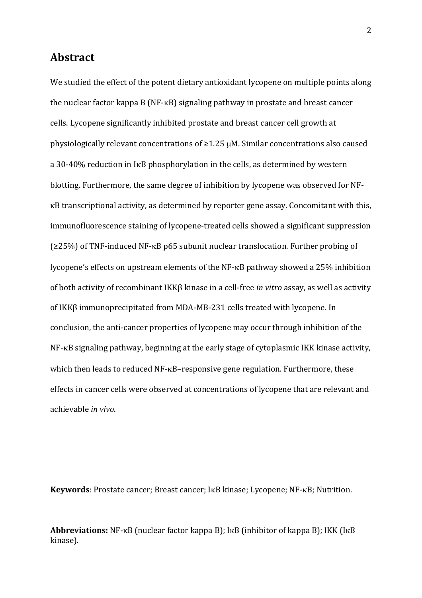## **Abstract**

We studied the effect of the potent dietary antioxidant lycopene on multiple points along the nuclear factor kappa  $B(NF-KB)$  signaling pathway in prostate and breast cancer cells. Lycopene significantly inhibited prostate and breast cancer cell growth at physiologically relevant concentrations of  $\geq$ 1.25  $\mu$ M. Similar concentrations also caused a 30-40% reduction in IKB phosphorylation in the cells, as determined by western blotting. Furthermore, the same degree of inhibition by lycopene was observed for NF- B transcriptional activity, as determined by reporter gene assay. Concomitant with this, immunofluorescence staining of lycopene-treated cells showed a significant suppression  $(225%)$  of TNF-induced NF- $\kappa$ B p65 subunit nuclear translocation. Further probing of lycopene's effects on upstream elements of the NF- $\kappa$ B pathway showed a 25% inhibition of both activity of recombinant IKKβ kinase in a cell-free *in vitro* assay, as well as activity of IKKβ immunoprecipitated from MDA-MB-231 cells treated with lycopene. In conclusion, the anti-cancer properties of lycopene may occur through inhibition of the NF-KB signaling pathway, beginning at the early stage of cytoplasmic IKK kinase activity, which then leads to reduced NF- $\kappa$ B–responsive gene regulation. Furthermore, these effects in cancer cells were observed at concentrations of lycopene that are relevant and achievable *in vivo*.

Keywords: Prostate cancer; Breast cancer; IKB kinase; Lycopene; NF-KB; Nutrition.

**Abbreviations:** NF-κB (nuclear factor kappa B); IκB (inhibitor of kappa B); IKK (IκB kinase).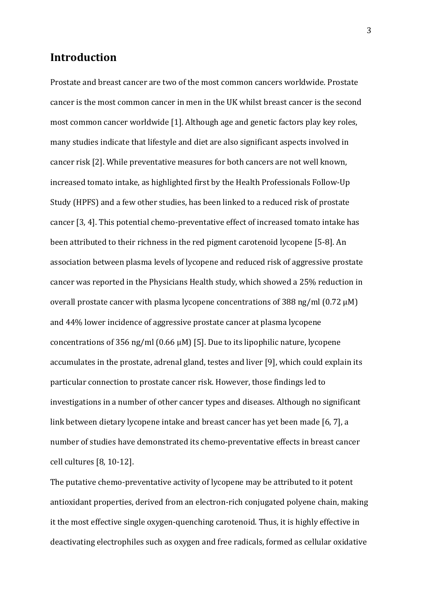## **Introduction**

Prostate and breast cancer are two of the most common cancers worldwide. Prostate cancer is the most common cancer in men in the UK whilst breast cancer is the second most common cancer worldwide [\[1\]](#page-19-0). Although age and genetic factors play key roles, many studies indicate that lifestyle and diet are also significant aspects involved in cancer risk [\[2\]](#page-19-1). While preventative measures for both cancers are not well known, increased tomato intake, as highlighted first by the Health Professionals Follow-Up Study (HPFS) and a few other studies, has been linked to a reduced risk of prostate cancer [\[3,](#page-19-2) [4\]](#page-19-3). This potential chemo-preventative effect of increased tomato intake has been attributed to their richness in the red pigment carotenoid lycopene [\[5-8\]](#page-19-4). An association between plasma levels of lycopene and reduced risk of aggressive prostate cancer was reported in the Physicians Health study, which showed a 25% reduction in overall prostate cancer with plasma lycopene concentrations of 388 ng/ml (0.72 μM) and 44% lower incidence of aggressive prostate cancer at plasma lycopene concentrations of 356 ng/ml (0.66 μM) [\[5\]](#page-19-4). Due to its lipophilic nature, lycopene accumulates in the prostate, adrenal gland, testes and liver [\[9\]](#page-20-0), which could explain its particular connection to prostate cancer risk. However, those findings led to investigations in a number of other cancer types and diseases. Although no significant link between dietary lycopene intake and breast cancer has yet been made [\[6,](#page-19-5) [7\]](#page-19-6), a number of studies have demonstrated its chemo-preventative effects in breast cancer cell cultures [\[8,](#page-20-1) [10-12\]](#page-20-2).

The putative chemo-preventative activity of lycopene may be attributed to it potent antioxidant properties, derived from an electron-rich conjugated polyene chain, making it the most effective single oxygen-quenching carotenoid. Thus, it is highly effective in deactivating electrophiles such as oxygen and free radicals, formed as cellular oxidative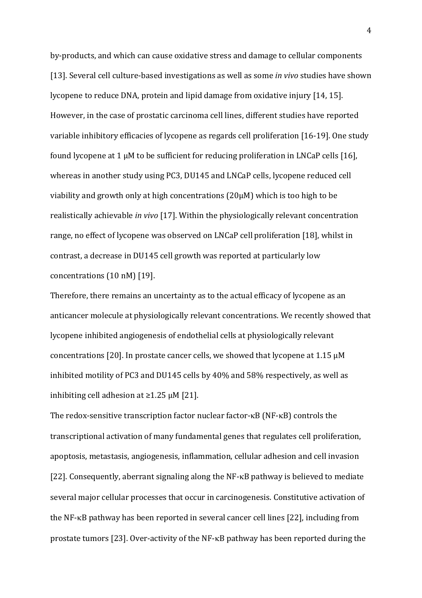by-products, and which can cause oxidative stress and damage to cellular components [\[13\]](#page-20-3). Several cell culture-based investigations as well as some *in vivo* studies have shown lycopene to reduce DNA, protein and lipid damage from oxidative injury [\[14,](#page-20-4) [15\]](#page-20-5). However, in the case of prostatic carcinoma cell lines, different studies have reported variable inhibitory efficacies of lycopene as regards cell proliferation [\[16-19\]](#page-20-6). One study found lycopene at 1 μM to be sufficient for reducing proliferation in LNCaP cells [\[16\]](#page-20-6), whereas in another study using PC3, DU145 and LNCaP cells, lycopene reduced cell viability and growth only at high concentrations (20µM) which is too high to be realistically achievable *in vivo* [\[17\]](#page-20-7). Within the physiologically relevant concentration range, no effect of lycopene was observed on LNCaP cell proliferation [\[18\]](#page-20-8), whilst in contrast, a decrease in DU145 cell growth was reported at particularly low concentrations (10 nM) [\[19\]](#page-20-9).

Therefore, there remains an uncertainty as to the actual efficacy of lycopene as an anticancer molecule at physiologically relevant concentrations. We recently showed that lycopene inhibited angiogenesis of endothelial cells at physiologically relevant concentrations [\[20\]](#page-20-10). In prostate cancer cells, we showed that lycopene at  $1.15 \mu M$ inhibited motility of PC3 and DU145 cells by 40% and 58% respectively, as well as inhibiting cell adhesion at  $≥1.25 \mu M$  [\[21\]](#page-21-0).

The redox-sensitive transcription factor nuclear factor- $\kappa$ B (NF- $\kappa$ B) controls the transcriptional activation of many fundamental genes that regulates cell proliferation, apoptosis, metastasis, angiogenesis, inflammation, cellular adhesion and cell invasion [\[22\]](#page-21-1). Consequently, aberrant signaling along the  $NF$ - $\kappa$ B pathway is believed to mediate several major cellular processes that occur in carcinogenesis. Constitutive activation of the NF-KB pathway has been reported in several cancer cell lines [\[22\]](#page-21-1), including from prostate tumors [\[23\]](#page-21-2). Over-activity of the NF- $\kappa$ B pathway has been reported during the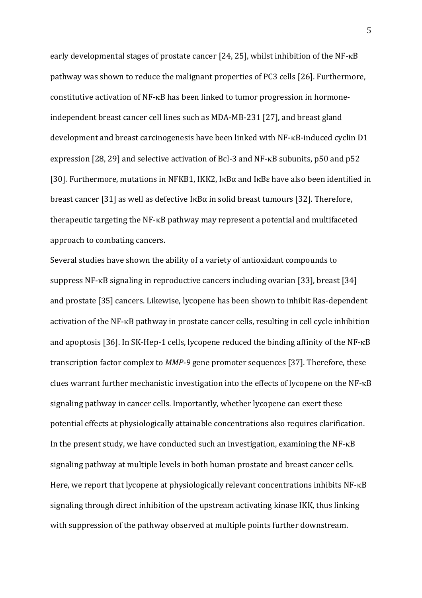early developmental stages of prostate cancer [\[24,](#page-21-3) [25\]](#page-21-4), whilst inhibition of the NF-KB pathway was shown to reduce the malignant properties of PC3 cells [\[26\]](#page-21-5). Furthermore, constitutive activation of NF- $\kappa$ B has been linked to tumor progression in hormoneindependent breast cancer cell lines such as MDA-MB-231 [\[27\]](#page-21-6), and breast gland development and breast carcinogenesis have been linked with  $NF$ - $\kappa$ B-induced cyclin D1 expression [\[28,](#page-21-7) [29\]](#page-21-8) and selective activation of Bcl-3 and NF- $\kappa$ B subunits, p50 and p52 [\[30\]](#page-21-9). Furthermore, mutations in NFKB1, IKK2, IκBα and IκBε have also been identified in breast cancer [\[31\]](#page-21-10) as well as defective IκBα in solid breast tumours [\[32\]](#page-21-11). Therefore, therapeutic targeting the NF-KB pathway may represent a potential and multifaceted approach to combating cancers.

Several studies have shown the ability of a variety of antioxidant compounds to suppress NF- $\kappa$ B signaling in reproductive cancers including ovarian [\[33\]](#page-22-0), breast [\[34\]](#page-22-1) and prostate [\[35\]](#page-22-2) cancers. Likewise, lycopene has been shown to inhibit Ras-dependent activation of the NF-KB pathway in prostate cancer cells, resulting in cell cycle inhibition and apoptosis [\[36\]](#page-22-3). In SK-Hep-1 cells, lycopene reduced the binding affinity of the NF- $\kappa$ B transcription factor complex to *MMP-9* gene promoter sequences [\[37\]](#page-22-4). Therefore, these clues warrant further mechanistic investigation into the effects of lycopene on the  $NF$ - $\kappa$ B signaling pathway in cancer cells. Importantly, whether lycopene can exert these potential effects at physiologically attainable concentrations also requires clarification. In the present study, we have conducted such an investigation, examining the  $NF-\kappa B$ signaling pathway at multiple levels in both human prostate and breast cancer cells. Here, we report that lycopene at physiologically relevant concentrations inhibits  $NF$ - $\kappa B$ signaling through direct inhibition of the upstream activating kinase IKK, thus linking with suppression of the pathway observed at multiple points further downstream.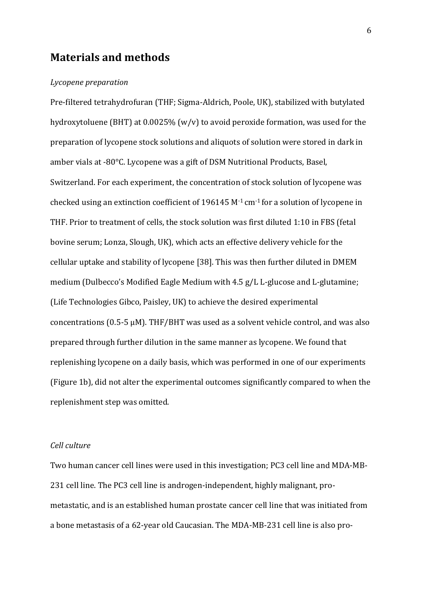## **Materials and methods**

#### *Lycopene preparation*

Pre-filtered tetrahydrofuran (THF; Sigma-Aldrich, Poole, UK), stabilized with butylated hydroxytoluene (BHT) at 0.0025% (w/v) to avoid peroxide formation, was used for the preparation of lycopene stock solutions and aliquots of solution were stored in dark in amber vials at -80°C. Lycopene was a gift of DSM Nutritional Products, Basel, Switzerland. For each experiment, the concentration of stock solution of lycopene was checked using an extinction coefficient of 196145  $M<sup>-1</sup>$  cm<sup>-1</sup> for a solution of lycopene in THF. Prior to treatment of cells, the stock solution was first diluted 1:10 in FBS (fetal bovine serum; Lonza, Slough, UK), which acts an effective delivery vehicle for the cellular uptake and stability of lycopene [\[38\]](#page-22-5). This was then further diluted in DMEM medium (Dulbecco's Modified Eagle Medium with 4.5 g/L L-glucose and L-glutamine; (Life Technologies Gibco, Paisley, UK) to achieve the desired experimental concentrations (0.5-5 μM). THF/BHT was used as a solvent vehicle control, and was also prepared through further dilution in the same manner as lycopene. We found that replenishing lycopene on a daily basis, which was performed in one of our experiments (Figure 1b), did not alter the experimental outcomes significantly compared to when the replenishment step was omitted.

#### *Cell culture*

Two human cancer cell lines were used in this investigation; PC3 cell line and MDA-MB-231 cell line. The PC3 cell line is androgen-independent, highly malignant, prometastatic, and is an established human prostate cancer cell line that was initiated from a bone metastasis of a 62-year old Caucasian. The MDA-MB-231 cell line is also pro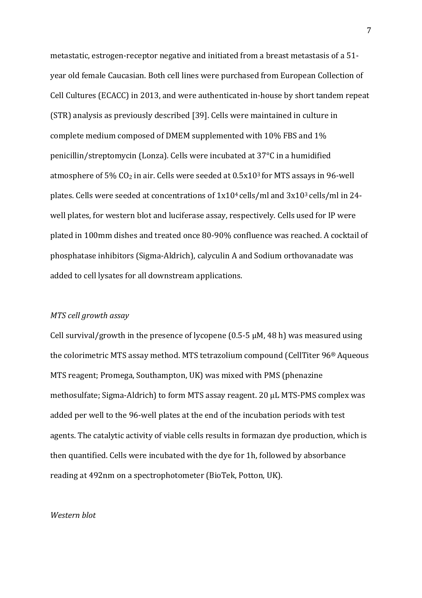metastatic, estrogen-receptor negative and initiated from a breast metastasis of a 51 year old female Caucasian. Both cell lines were purchased from European Collection of Cell Cultures (ECACC) in 2013, and were authenticated in-house by short tandem repeat (STR) analysis as previously described [\[39\]](#page-22-6). Cells were maintained in culture in complete medium composed of DMEM supplemented with 10% FBS and 1% penicillin/streptomycin (Lonza)*.* Cells were incubated at 37°C in a humidified atmosphere of  $5\%$  CO<sub>2</sub> in air. Cells were seeded at  $0.5x10<sup>3</sup>$  for MTS assays in 96-well plates. Cells were seeded at concentrations of  $1x10^4$  cells/ml and  $3x10^3$  cells/ml in 24well plates, for western blot and luciferase assay, respectively. Cells used for IP were plated in 100mm dishes and treated once 80-90% confluence was reached. A cocktail of phosphatase inhibitors (Sigma-Aldrich), calyculin A and Sodium orthovanadate was added to cell lysates for all downstream applications.

#### *MTS cell growth assay*

Cell survival/growth in the presence of lycopene (0.5-5  $\mu$ M, 48 h) was measured using the colorimetric MTS assay method. MTS tetrazolium compound (CellTiter 96® Aqueous MTS reagent; Promega, Southampton, UK) was mixed with PMS (phenazine methosulfate; Sigma-Aldrich) to form MTS assay reagent. 20 μL MTS-PMS complex was added per well to the 96-well plates at the end of the incubation periods with test agents. The catalytic activity of viable cells results in formazan dye production, which is then quantified. Cells were incubated with the dye for 1h, followed by absorbance reading at 492nm on a spectrophotometer (BioTek, Potton, UK).

#### *Western blot*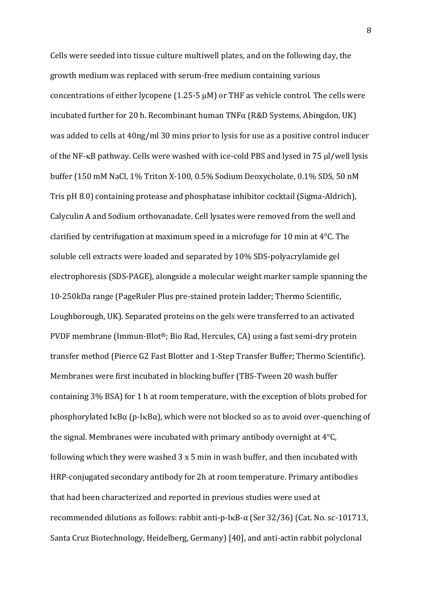Cells were seeded into tissue culture multiwell plates, and on the following day, the growth medium was replaced with serum-free medium containing various concentrations of either lycopene (1.25-5  $\mu$ M) or THF as vehicle control. The cells were incubated further for 20 h. Recombinant human  $TNF\alpha$  (R&D Systems, Abingdon, UK) was added to cells at 40ng/ml 30 mins prior to lysis for use as a positive control inducer of the NF- $κ$ B pathway. Cells were washed with ice-cold PBS and lysed in 75  $μ$ /well lysis buffer (150 mM NaCl, 1% Triton X-100, 0.5% Sodium Deoxycholate, 0.1% SDS, 50 nM Tris pH 8.0) containing protease and phosphatase inhibitor cocktail (Sigma-Aldrich), Calyculin A and Sodium orthovanadate. Cell lysates were removed from the well and clarified by centrifugation at maximum speed in a microfuge for 10 min at  $4^{\circ}$ C. The soluble cell extracts were loaded and separated by 10% SDS-polyacrylamide gel electrophoresis (SDS-PAGE), alongside a molecular weight marker sample spanning the 10-250kDa range (PageRuler Plus pre-stained protein ladder; Thermo Scientific, Loughborough, UK). Separated proteins on the gels were transferred to an activated PVDF membrane (Immun-Blot®; Bio Rad, Hercules, CA) using a fast semi-dry protein transfer method (Pierce G2 Fast Blotter and 1-Step Transfer Buffer; Thermo Scientific). Membranes were first incubated in blocking buffer (TBS-Tween 20 wash buffer containing 3% BSA) for 1 h at room temperature, with the exception of blots probed for phosphorylated I $\kappa$ B $\alpha$  (p-I $\kappa$ B $\alpha$ ), which were not blocked so as to avoid over-quenching of the signal. Membranes were incubated with primary antibody overnight at 4°C, following which they were washed 3 x 5 min in wash buffer, and then incubated with HRP-conjugated secondary antibody for 2h at room temperature. Primary antibodies that had been characterized and reported in previous studies were used at recommended dilutions as follows: rabbit anti-p-IκB-α (Ser 32/36) (Cat. No. sc-101713, Santa Cruz Biotechnology, Heidelberg, Germany) [\[40\]](#page-22-7), and anti-actin rabbit polyclonal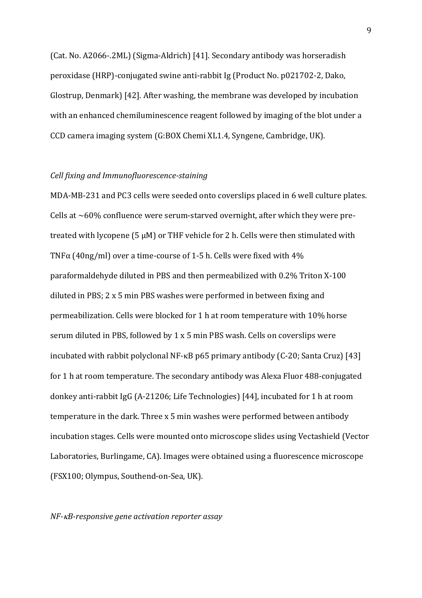(Cat. No. A2066-.2ML) (Sigma-Aldrich) [\[41\]](#page-22-8). Secondary antibody was horseradish peroxidase (HRP)-conjugated swine anti-rabbit Ig (Product No. p021702-2, Dako, Glostrup, Denmark) [\[42\]](#page-22-9). After washing, the membrane was developed by incubation with an enhanced chemiluminescence reagent followed by imaging of the blot under a CCD camera imaging system (G:BOX Chemi XL1.4, Syngene, Cambridge, UK)*.* 

#### *Cell fixing and Immunofluorescence-staining*

MDA-MB-231 and PC3 cells were seeded onto coverslips placed in 6 well culture plates. Cells at  $\sim$  60% confluence were serum-starved overnight, after which they were pretreated with lycopene (5  $\mu$ M) or THF vehicle for 2 h. Cells were then stimulated with TNF $\alpha$  (40ng/ml) over a time-course of 1-5 h. Cells were fixed with 4% paraformaldehyde diluted in PBS and then permeabilized with 0.2% Triton X-100 diluted in PBS; 2 x 5 min PBS washes were performed in between fixing and permeabilization. Cells were blocked for 1 h at room temperature with 10% horse serum diluted in PBS, followed by 1 x 5 min PBS wash. Cells on coverslips were incubated with rabbit polyclonal NF- $\kappa$ B p65 primary antibody (C-20; Santa Cruz) [\[43\]](#page-22-10) for 1 h at room temperature. The secondary antibody was Alexa Fluor 488-conjugated donkey anti-rabbit IgG (A-21206; Life Technologies) [\[44\]](#page-23-0), incubated for 1 h at room temperature in the dark. Three x 5 min washes were performed between antibody incubation stages. Cells were mounted onto microscope slides using Vectashield (Vector Laboratories, Burlingame, CA). Images were obtained using a fluorescence microscope (FSX100; Olympus, Southend-on-Sea, UK).

#### *NF-B-responsive gene activation reporter assay*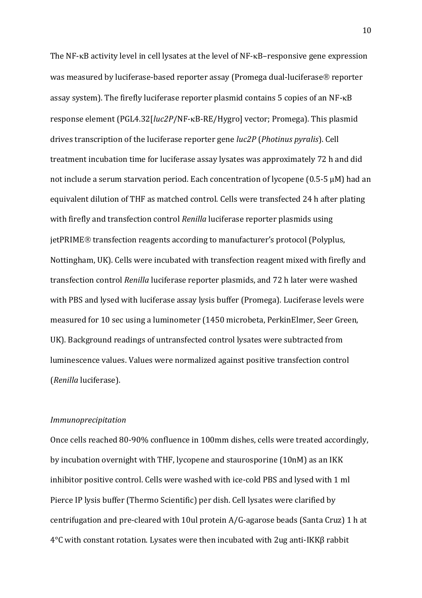The NF- $\kappa$ B activity level in cell lysates at the level of NF- $\kappa$ B–responsive gene expression was measured by luciferase-based reporter assay (Promega dual-luciferase® reporter assay system). The firefly luciferase reporter plasmid contains 5 copies of an  $NF\text{-}kB$ response element (PGL4.32[*luc2P*/NF-<sub>K</sub>B-RE/Hygro] vector; Promega). This plasmid drives transcription of the luciferase reporter gene *luc2P* (*Photinus pyralis*). Cell treatment incubation time for luciferase assay lysates was approximately 72 h and did not include a serum starvation period. Each concentration of lycopene  $(0.5-5 \mu M)$  had an equivalent dilution of THF as matched control. Cells were transfected 24 h after plating with firefly and transfection control *Renilla* luciferase reporter plasmids using jetPRIME<sup>®</sup> transfection reagents according to manufacturer's protocol (Polyplus, Nottingham, UK). Cells were incubated with transfection reagent mixed with firefly and transfection control *Renilla* luciferase reporter plasmids, and 72 h later were washed with PBS and lysed with luciferase assay lysis buffer (Promega). Luciferase levels were measured for 10 sec using a luminometer (1450 microbeta, PerkinElmer, Seer Green, UK). Background readings of untransfected control lysates were subtracted from luminescence values. Values were normalized against positive transfection control (*Renilla* luciferase).

#### *Immunoprecipitation*

Once cells reached 80-90% confluence in 100mm dishes, cells were treated accordingly, by incubation overnight with THF, lycopene and staurosporine (10nM) as an IKK inhibitor positive control. Cells were washed with ice-cold PBS and lysed with 1 ml Pierce IP lysis buffer (Thermo Scientific) per dish. Cell lysates were clarified by centrifugation and pre-cleared with 10ul protein A/G-agarose beads (Santa Cruz) 1 h at 4°C with constant rotation. Lysates were then incubated with 2ug anti-IKKβ rabbit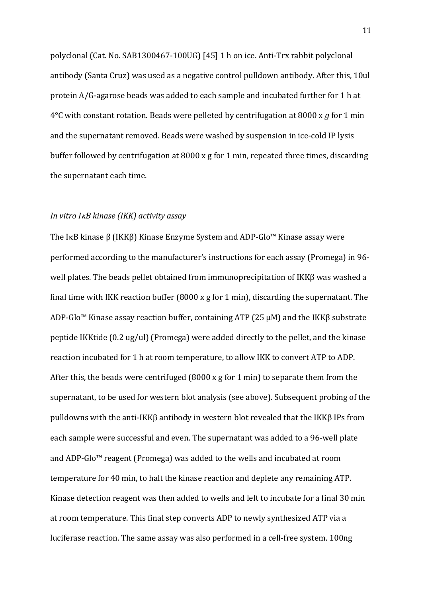polyclonal (Cat. No. SAB1300467-100UG) [\[45\]](#page-23-1) 1 h on ice. Anti-Trx rabbit polyclonal antibody (Santa Cruz) was used as a negative control pulldown antibody. After this, 10ul protein A/G-agarose beads was added to each sample and incubated further for 1 h at 4°C with constant rotation. Beads were pelleted by centrifugation at 8000 x *g* for 1 min and the supernatant removed. Beads were washed by suspension in ice-cold IP lysis buffer followed by centrifugation at 8000 x g for 1 min, repeated three times, discarding the supernatant each time.

#### *In vitro IB kinase (IKK) activity assay*

The IκB kinase β (IKKβ) Kinase Enzyme System and ADP-Glo<sup>™</sup> Kinase assay were performed according to the manufacturer's instructions for each assay (Promega) in 96 well plates. The beads pellet obtained from immunoprecipitation of IKKβ was washed a final time with IKK reaction buffer  $(8000 \times g$  for 1 min), discarding the supernatant. The ADP-Glo™ Kinase assay reaction buffer, containing ATP (25  $\mu$ M) and the IKK $\beta$  substrate peptide IKKtide (0.2 ug/ul) (Promega) were added directly to the pellet, and the kinase reaction incubated for 1 h at room temperature, to allow IKK to convert ATP to ADP. After this, the beads were centrifuged (8000 x g for 1 min) to separate them from the supernatant, to be used for western blot analysis (see above). Subsequent probing of the pulldowns with the anti-IKK $\beta$  antibody in western blot revealed that the IKK $\beta$  IPs from each sample were successful and even. The supernatant was added to a 96-well plate and ADP-Glo™ reagent (Promega) was added to the wells and incubated at room temperature for 40 min, to halt the kinase reaction and deplete any remaining ATP. Kinase detection reagent was then added to wells and left to incubate for a final 30 min at room temperature. This final step converts ADP to newly synthesized ATP via a luciferase reaction. The same assay was also performed in a cell-free system. 100ng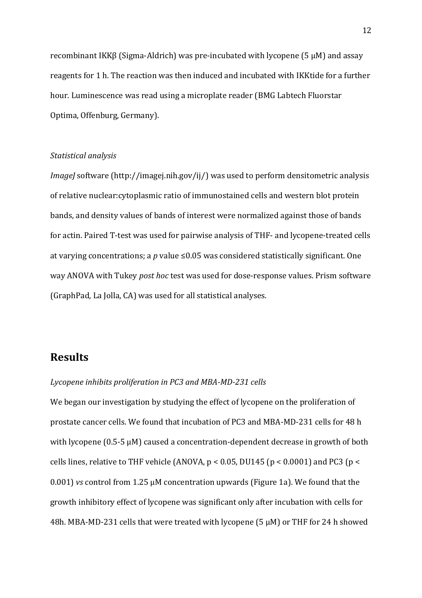recombinant IKKβ (Sigma-Aldrich) was pre-incubated with lycopene (5 μM) and assay reagents for 1 h. The reaction was then induced and incubated with IKKtide for a further hour. Luminescence was read using a microplate reader (BMG Labtech Fluorstar Optima, Offenburg, Germany).

#### *Statistical analysis*

*ImageJ* software (http://imagej.nih.gov/ij/) was used to perform densitometric analysis of relative nuclear:cytoplasmic ratio of immunostained cells and western blot protein bands, and density values of bands of interest were normalized against those of bands for actin. Paired T-test was used for pairwise analysis of THF- and lycopene-treated cells at varying concentrations; a *p* value ≤0.05 was considered statistically significant. One way ANOVA with Tukey *post hoc* test was used for dose-response values. Prism software (GraphPad, La Jolla, CA) was used for all statistical analyses.

## **Results**

#### *Lycopene inhibits proliferation in PC3 and MBA-MD-231 cells*

We began our investigation by studying the effect of lycopene on the proliferation of prostate cancer cells. We found that incubation of PC3 and MBA-MD-231 cells for 48 h with lycopene (0.5-5 μM) caused a concentration-dependent decrease in growth of both cells lines, relative to THF vehicle (ANOVA,  $p < 0.05$ , DU145 ( $p < 0.0001$ ) and PC3 ( $p <$ 0.001) *vs* control from 1.25 μM concentration upwards (Figure 1a). We found that the growth inhibitory effect of lycopene was significant only after incubation with cells for 48h. MBA-MD-231 cells that were treated with lycopene (5 μM) or THF for 24 h showed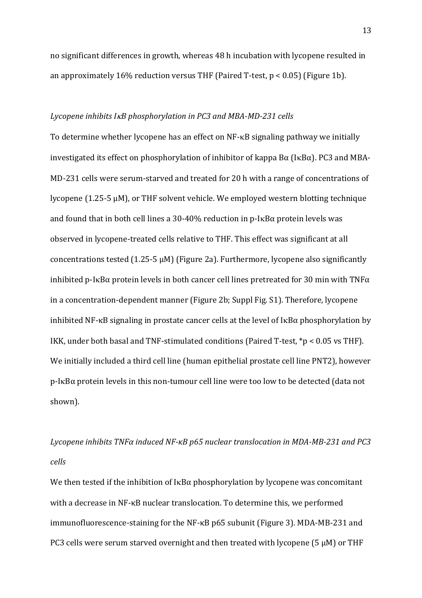no significant differences in growth, whereas 48 h incubation with lycopene resulted in an approximately 16% reduction versus THF (Paired T-test,  $p < 0.05$ ) (Figure 1b).

#### *Lycopene inhibits IB phosphorylation in PC3 and MBA-MD-231 cells*

To determine whether lycopene has an effect on  $NF$ - $\kappa$ B signaling pathway we initially investigated its effect on phosphorylation of inhibitor of kappa  $B\alpha$  (I $\kappa B\alpha$ ). PC3 and MBA-MD-231 cells were serum-starved and treated for 20 h with a range of concentrations of lycopene (1.25-5 μM), or THF solvent vehicle. We employed western blotting technique and found that in both cell lines a 30-40% reduction in p-I $\kappa$ B $\alpha$  protein levels was observed in lycopene-treated cells relative to THF. This effect was significant at all concentrations tested (1.25-5 μM) (Figure 2a). Furthermore, lycopene also significantly inhibited p-I $\kappa$ B $\alpha$  protein levels in both cancer cell lines pretreated for 30 min with TNF $\alpha$ in a concentration-dependent manner (Figure 2b; Suppl Fig. S1). Therefore, lycopene inhibited NF- $\kappa$ B signaling in prostate cancer cells at the level of  $I\kappa$ B $\alpha$  phosphorylation by IKK, under both basal and TNF-stimulated conditions (Paired T-test, \*p < 0.05 vs THF). We initially included a third cell line (human epithelial prostate cell line PNT2), however  $p$ -I $\kappa$ B $\alpha$  protein levels in this non-tumour cell line were too low to be detected (data not shown).

## *Lycopene inhibits TNFα induced NF-κB p65 nuclear translocation in MDA-MB-231 and PC3 cells*

We then tested if the inhibition of  $I \kappa B\alpha$  phosphorylation by lycopene was concomitant with a decrease in NF-κB nuclear translocation. To determine this, we performed immunofluorescence-staining for the NF-κB p65 subunit (Figure 3). MDA-MB-231 and PC3 cells were serum starved overnight and then treated with lycopene (5 μM) or THF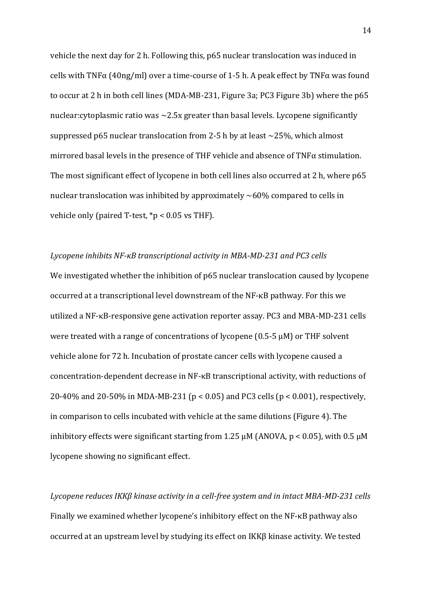vehicle the next day for 2 h. Following this, p65 nuclear translocation was induced in cells with TNF $\alpha$  (40ng/ml) over a time-course of 1-5 h. A peak effect by TNF $\alpha$  was found to occur at 2 h in both cell lines (MDA-MB-231, Figure 3a; PC3 Figure 3b) where the p65 nuclear:cytoplasmic ratio was  $\sim$ 2.5x greater than basal levels. Lycopene significantly suppressed p65 nuclear translocation from 2-5 h by at least  $\sim$  25%, which almost mirrored basal levels in the presence of THF vehicle and absence of TNFα stimulation. The most significant effect of lycopene in both cell lines also occurred at 2 h, where p65 nuclear translocation was inhibited by approximately  $~60\%$  compared to cells in vehicle only (paired T-test, \*p < 0.05 vs THF).

*Lycopene inhibits NF-κB transcriptional activity in MBA-MD-231 and PC3 cells* We investigated whether the inhibition of p65 nuclear translocation caused by lycopene occurred at a transcriptional level downstream of the NF-κB pathway. For this we utilized a NF-B-responsive gene activation reporter assay*.* PC3 and MBA-MD-231 cells were treated with a range of concentrations of lycopene (0.5-5 μM) or THF solvent vehicle alone for 72 h. Incubation of prostate cancer cells with lycopene caused a concentration-dependent decrease in NF-κB transcriptional activity, with reductions of 20-40% and 20-50% in MDA-MB-231 (p < 0.05) and PC3 cells (p < 0.001), respectively, in comparison to cells incubated with vehicle at the same dilutions (Figure 4). The inhibitory effects were significant starting from 1.25  $\mu$ M (ANOVA,  $p < 0.05$ ), with 0.5  $\mu$ M lycopene showing no significant effect.

*Lycopene reduces IKKβ kinase activity in a cell-free system and in intact MBA-MD-231 cells* Finally we examined whether lycopene's inhibitory effect on the NF-κB pathway also occurred at an upstream level by studying its effect on IKKβ kinase activity. We tested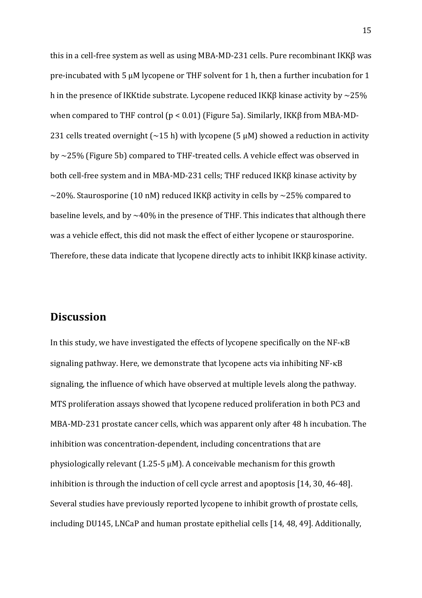this in a cell-free system as well as using MBA-MD-231 cells. Pure recombinant IKKβ was pre-incubated with 5 μM lycopene or THF solvent for 1 h, then a further incubation for 1 h in the presence of IKK tide substrate. Lycopene reduced IKK $\beta$  kinase activity by  $\sim$ 25% when compared to THF control (p < 0.01) (Figure 5a). Similarly, IKKβ from MBA-MD-231 cells treated overnight ( $\sim$ 15 h) with lycopene (5  $\mu$ M) showed a reduction in activity by ~25% (Figure 5b) compared to THF-treated cells. A vehicle effect was observed in both cell-free system and in MBA-MD-231 cells; THF reduced IKKβ kinase activity by  $\sim$ 20%. Staurosporine (10 nM) reduced IKK $\beta$  activity in cells by  $\sim$ 25% compared to baseline levels, and by  $\sim$  40% in the presence of THF. This indicates that although there was a vehicle effect, this did not mask the effect of either lycopene or staurosporine. Therefore, these data indicate that lycopene directly acts to inhibit IKKβ kinase activity.

## **Discussion**

In this study, we have investigated the effects of lycopene specifically on the  $NF$ - $\kappa B$ signaling pathway. Here, we demonstrate that lycopene acts via inhibiting  $NF$ - $\kappa B$ signaling, the influence of which have observed at multiple levels along the pathway. MTS proliferation assays showed that lycopene reduced proliferation in both PC3 and MBA-MD-231 prostate cancer cells, which was apparent only after 48 h incubation. The inhibition was concentration-dependent, including concentrations that are physiologically relevant  $(1.25-5 \mu M)$ . A conceivable mechanism for this growth inhibition is through the induction of cell cycle arrest and apoptosis [\[14,](#page-20-4) [30,](#page-21-9) [46-48\]](#page-23-2). Several studies have previously reported lycopene to inhibit growth of prostate cells, including DU145, LNCaP and human prostate epithelial cells [\[14,](#page-20-4) [48,](#page-23-3) [49\]](#page-23-4). Additionally,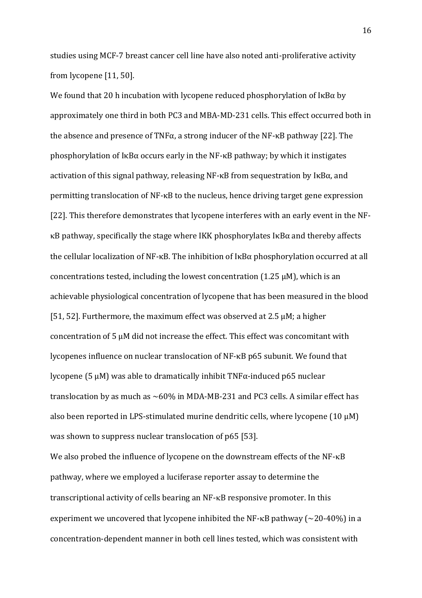studies using MCF-7 breast cancer cell line have also noted anti-proliferative activity from lycopene [\[11,](#page-20-11) [50\]](#page-23-5).

We found that 20 h incubation with lycopene reduced phosphorylation of I $\kappa$ B $\alpha$  by approximately one third in both PC3 and MBA-MD-231 cells. This effect occurred both in the absence and presence of TNFα, a strong inducer of the NF-κB pathway [\[22\]](#page-21-1). The phosphorylation of IκBα occurs early in the NF-κB pathway; by which it instigates activation of this signal pathway, releasing NF-κB from sequestration by IκBα, and permitting translocation of NF-κB to the nucleus, hence driving target gene expression [\[22\]](#page-21-1). This therefore demonstrates that lycopene interferes with an early event in the NF- B pathway, specifically the stage where IKK phosphorylates IκBα and thereby affects the cellular localization of NF- $\kappa$ B. The inhibition of  $\kappa$ B $\alpha$  phosphorylation occurred at all concentrations tested, including the lowest concentration (1.25 μM), which is an achievable physiological concentration of lycopene that has been measured in the blood [\[51,](#page-23-6) [52\]](#page-23-7). Furthermore, the maximum effect was observed at 2.5  $\mu$ M; a higher concentration of 5 μM did not increase the effect. This effect was concomitant with lycopenes influence on nuclear translocation of NF-κB p65 subunit. We found that lycopene (5 μM) was able to dramatically inhibit TNFα-induced p65 nuclear translocation by as much as  $\sim60\%$  in MDA-MB-231 and PC3 cells. A similar effect has also been reported in LPS-stimulated murine dendritic cells, where lycopene (10 μM) was shown to suppress nuclear translocation of p65 [\[53\]](#page-23-8).

We also probed the influence of lycopene on the downstream effects of the NF- $\kappa$ B pathway, where we employed a luciferase reporter assay to determine the transcriptional activity of cells bearing an NF-KB responsive promoter. In this experiment we uncovered that lycopene inhibited the NF- $\kappa$ B pathway ( $\sim$ 20-40%) in a concentration-dependent manner in both cell lines tested, which was consistent with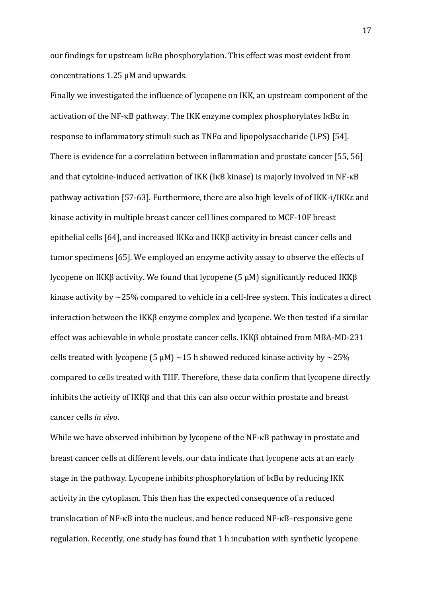our findings for upstream IκBα phosphorylation. This effect was most evident from concentrations 1.25 μM and upwards.

Finally we investigated the influence of lycopene on IKK, an upstream component of the activation of the NF- $\kappa$ B pathway. The IKK enzyme complex phosphorylates I $\kappa$ B $\alpha$  in response to inflammatory stimuli such as TNFα and lipopolysaccharide (LPS) [\[54\]](#page-23-9). There is evidence for a correlation between inflammation and prostate cancer [\[55,](#page-24-0) [56\]](#page-24-1) and that cytokine-induced activation of IKK (I $\kappa$ B kinase) is majorly involved in NF- $\kappa$ B pathway activation [\[57-63\]](#page-24-2). Furthermore, there are also high levels of of IKK-i/IKKε and kinase activity in multiple breast cancer cell lines compared to MCF-10F breast epithelial cells [\[64\]](#page-24-3), and increased IKKα and IKKβ activity in breast cancer cells and tumor specimens [\[65\]](#page-24-4). We employed an enzyme activity assay to observe the effects of lycopene on IKKβ activity. We found that lycopene (5 μM) significantly reduced IKKβ kinase activity by ~25% compared to vehicle in a cell-free system. This indicates a direct interaction between the IKKβ enzyme complex and lycopene. We then tested if a similar effect was achievable in whole prostate cancer cells. IKKβ obtained from MBA-MD-231 cells treated with lycopene (5  $\mu$ M) ~15 h showed reduced kinase activity by ~25% compared to cells treated with THF. Therefore, these data confirm that lycopene directly inhibits the activity of IKKβ and that this can also occur within prostate and breast cancer cells *in vivo*.

While we have observed inhibition by lycopene of the NF-KB pathway in prostate and breast cancer cells at different levels, our data indicate that lycopene acts at an early stage in the pathway. Lycopene inhibits phosphorylation of  $I\kappa B\alpha$  by reducing IKK activity in the cytoplasm. This then has the expected consequence of a reduced translocation of  $NF$ - $\kappa$ B into the nucleus, and hence reduced  $NF$ - $\kappa$ B–responsive gene regulation. Recently, one study has found that 1 h incubation with synthetic lycopene

17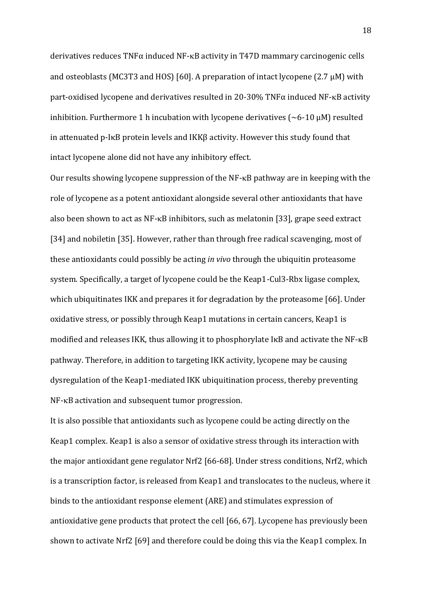derivatives reduces TNFα induced NF-κB activity in T47D mammary carcinogenic cells and osteoblasts (MC3T3 and HOS) [\[60\]](#page-24-5). A preparation of intact lycopene (2.7  $\mu$ M) with part-oxidised lycopene and derivatives resulted in 20-30% TNF $\alpha$  induced NF- $\kappa$ B activity inhibition. Furthermore 1 h incubation with lycopene derivatives  $(\sim 6\n-10 \mu M)$  resulted in attenuated p-IκB protein levels and IKKβ activity. However this study found that intact lycopene alone did not have any inhibitory effect.

Our results showing lycopene suppression of the  $NF$ - $\kappa$ B pathway are in keeping with the role of lycopene as a potent antioxidant alongside several other antioxidants that have also been shown to act as  $NF$ - $\kappa$ B inhibitors, such as melatonin [\[33\]](#page-22-0), grape seed extract [\[34\]](#page-22-1) and nobiletin [\[35\]](#page-22-2). However, rather than through free radical scavenging, most of these antioxidants could possibly be acting *in vivo* through the ubiquitin proteasome system. Specifically, a target of lycopene could be the Keap1-Cul3-Rbx ligase complex, which ubiquitinates IKK and prepares it for degradation by the proteasome [\[66\]](#page-24-6). Under oxidative stress, or possibly through Keap1 mutations in certain cancers, Keap1 is modified and releases IKK, thus allowing it to phosphorylate I $\kappa$ B and activate the NF- $\kappa$ B pathway. Therefore, in addition to targeting IKK activity, lycopene may be causing dysregulation of the Keap1-mediated IKK ubiquitination process, thereby preventing  $NF$ - $\kappa$ B activation and subsequent tumor progression.

It is also possible that antioxidants such as lycopene could be acting directly on the Keap1 complex. Keap1 is also a sensor of oxidative stress through its interaction with the major antioxidant gene regulator Nrf2 [\[66-68\]](#page-24-6). Under stress conditions, Nrf2, which is a transcription factor, is released from Keap1 and translocates to the nucleus, where it binds to the antioxidant response element (ARE) and stimulates expression of antioxidative gene products that protect the cell [\[66,](#page-24-6) [67\]](#page-24-7). Lycopene has previously been shown to activate Nrf2 [\[69\]](#page-25-0) and therefore could be doing this via the Keap1 complex. In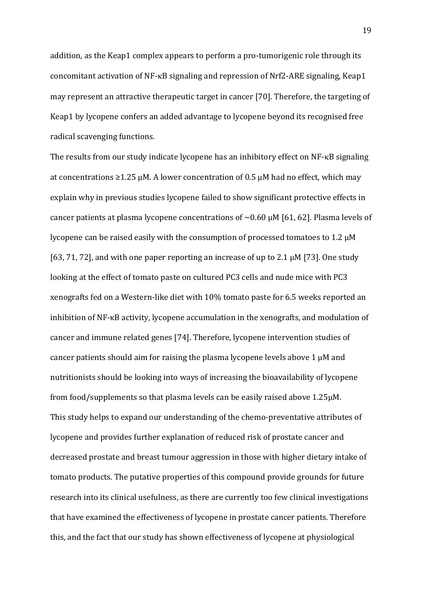addition, as the Keap1 complex appears to perform a pro-tumorigenic role through its concomitant activation of NF- $\kappa$ B signaling and repression of Nrf2-ARE signaling, Keap1 may represent an attractive therapeutic target in cancer [\[70\]](#page-25-1). Therefore, the targeting of Keap1 by lycopene confers an added advantage to lycopene beyond its recognised free radical scavenging functions.

The results from our study indicate lycopene has an inhibitory effect on  $NF$ - $\kappa$ B signaling at concentrations  $\geq 1.25$  μM. A lower concentration of 0.5 μM had no effect, which may explain why in previous studies lycopene failed to show significant protective effects in cancer patients at plasma lycopene concentrations of  $\sim 0.60$   $\mu$ M [\[61,](#page-24-8) [62\]](#page-24-9). Plasma levels of lycopene can be raised easily with the consumption of processed tomatoes to 1.2 µM [\[63,](#page-24-10) [71,](#page-25-2) [72\]](#page-25-3), and with one paper reporting an increase of up to 2.1  $\mu$ M [\[73\]](#page-25-4). One study looking at the effect of tomato paste on cultured PC3 cells and nude mice with PC3 xenografts fed on a Western-like diet with 10% tomato paste for 6.5 weeks reported an inhibition of NF-κB activity, lycopene accumulation in the xenografts, and modulation of cancer and immune related genes [\[74\]](#page-25-5). Therefore, lycopene intervention studies of cancer patients should aim for raising the plasma lycopene levels above  $1 \mu$ M and nutritionists should be looking into ways of increasing the bioavailability of lycopene from food/supplements so that plasma levels can be easily raised above 1.25µM. This study helps to expand our understanding of the chemo-preventative attributes of lycopene and provides further explanation of reduced risk of prostate cancer and decreased prostate and breast tumour aggression in those with higher dietary intake of tomato products. The putative properties of this compound provide grounds for future research into its clinical usefulness, as there are currently too few clinical investigations that have examined the effectiveness of lycopene in prostate cancer patients. Therefore this, and the fact that our study has shown effectiveness of lycopene at physiological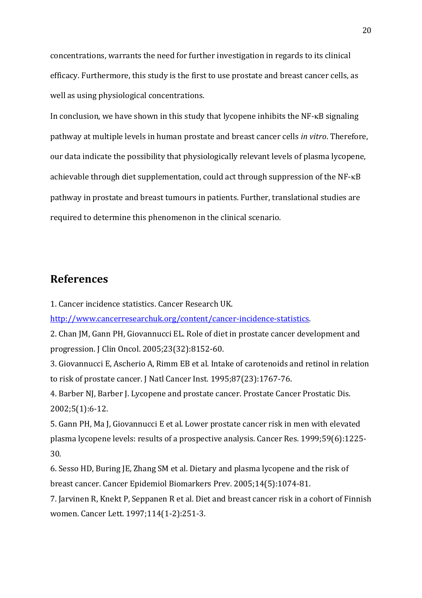concentrations, warrants the need for further investigation in regards to its clinical efficacy. Furthermore, this study is the first to use prostate and breast cancer cells, as well as using physiological concentrations.

In conclusion, we have shown in this study that lycopene inhibits the  $NF$ - $\kappa$ B signaling pathway at multiple levels in human prostate and breast cancer cells *in vitro*. Therefore, our data indicate the possibility that physiologically relevant levels of plasma lycopene, achievable through diet supplementation, could act through suppression of the NF-KB pathway in prostate and breast tumours in patients. Further, translational studies are required to determine this phenomenon in the clinical scenario.

## **References**

<span id="page-19-0"></span>1. Cancer incidence statistics. Cancer Research UK.

[http://www.cancerresearchuk.org/content/cancer-incidence-statistics.](http://www.cancerresearchuk.org/content/cancer-incidence-statistics)

<span id="page-19-1"></span>2. Chan JM, Gann PH, Giovannucci EL. Role of diet in prostate cancer development and progression. J Clin Oncol. 2005;23(32):8152-60.

<span id="page-19-2"></span>3. Giovannucci E, Ascherio A, Rimm EB et al. Intake of carotenoids and retinol in relation to risk of prostate cancer. J Natl Cancer Inst. 1995;87(23):1767-76.

<span id="page-19-3"></span>4. Barber NJ, Barber J. Lycopene and prostate cancer. Prostate Cancer Prostatic Dis. 2002;5(1):6-12.

<span id="page-19-4"></span>5. Gann PH, Ma J, Giovannucci E et al. Lower prostate cancer risk in men with elevated plasma lycopene levels: results of a prospective analysis. Cancer Res. 1999;59(6):1225- 30.

<span id="page-19-5"></span>6. Sesso HD, Buring JE, Zhang SM et al. Dietary and plasma lycopene and the risk of breast cancer. Cancer Epidemiol Biomarkers Prev. 2005;14(5):1074-81.

<span id="page-19-6"></span>7. Jarvinen R, Knekt P, Seppanen R et al. Diet and breast cancer risk in a cohort of Finnish women. Cancer Lett. 1997;114(1-2):251-3.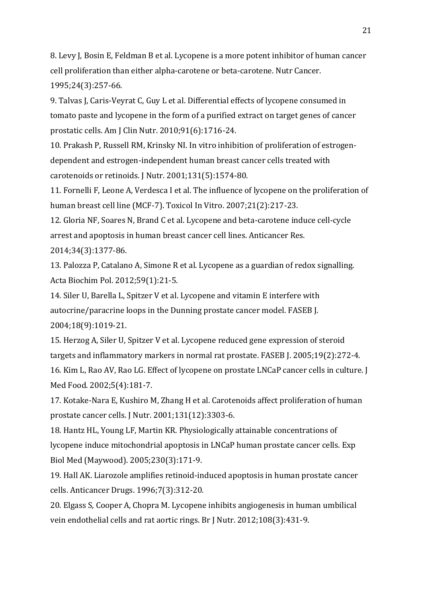<span id="page-20-1"></span>8. Levy J, Bosin E, Feldman B et al. Lycopene is a more potent inhibitor of human cancer cell proliferation than either alpha-carotene or beta-carotene. Nutr Cancer. 1995;24(3):257-66.

<span id="page-20-0"></span>9. Talvas J, Caris-Veyrat C, Guy L et al. Differential effects of lycopene consumed in tomato paste and lycopene in the form of a purified extract on target genes of cancer prostatic cells. Am J Clin Nutr. 2010;91(6):1716-24.

<span id="page-20-2"></span>10. Prakash P, Russell RM, Krinsky NI. In vitro inhibition of proliferation of estrogendependent and estrogen-independent human breast cancer cells treated with carotenoids or retinoids. J Nutr. 2001;131(5):1574-80.

<span id="page-20-11"></span>11. Fornelli F, Leone A, Verdesca I et al. The influence of lycopene on the proliferation of human breast cell line (MCF-7). Toxicol In Vitro. 2007;21(2):217-23.

12. Gloria NF, Soares N, Brand C et al. Lycopene and beta-carotene induce cell-cycle arrest and apoptosis in human breast cancer cell lines. Anticancer Res.

2014;34(3):1377-86.

<span id="page-20-3"></span>13. Palozza P, Catalano A, Simone R et al. Lycopene as a guardian of redox signalling. Acta Biochim Pol. 2012;59(1):21-5.

<span id="page-20-4"></span>14. Siler U, Barella L, Spitzer V et al. Lycopene and vitamin E interfere with autocrine/paracrine loops in the Dunning prostate cancer model. FASEB J. 2004;18(9):1019-21.

<span id="page-20-5"></span>15. Herzog A, Siler U, Spitzer V et al. Lycopene reduced gene expression of steroid targets and inflammatory markers in normal rat prostate. FASEB J. 2005;19(2):272-4.

<span id="page-20-6"></span>16. Kim L, Rao AV, Rao LG. Effect of lycopene on prostate LNCaP cancer cells in culture. J Med Food. 2002;5(4):181-7.

<span id="page-20-7"></span>17. Kotake-Nara E, Kushiro M, Zhang H et al. Carotenoids affect proliferation of human prostate cancer cells. J Nutr. 2001;131(12):3303-6.

<span id="page-20-8"></span>18. Hantz HL, Young LF, Martin KR. Physiologically attainable concentrations of lycopene induce mitochondrial apoptosis in LNCaP human prostate cancer cells. Exp Biol Med (Maywood). 2005;230(3):171-9.

<span id="page-20-9"></span>19. Hall AK. Liarozole amplifies retinoid-induced apoptosis in human prostate cancer cells. Anticancer Drugs. 1996;7(3):312-20.

<span id="page-20-10"></span>20. Elgass S, Cooper A, Chopra M. Lycopene inhibits angiogenesis in human umbilical vein endothelial cells and rat aortic rings. Br J Nutr. 2012;108(3):431-9.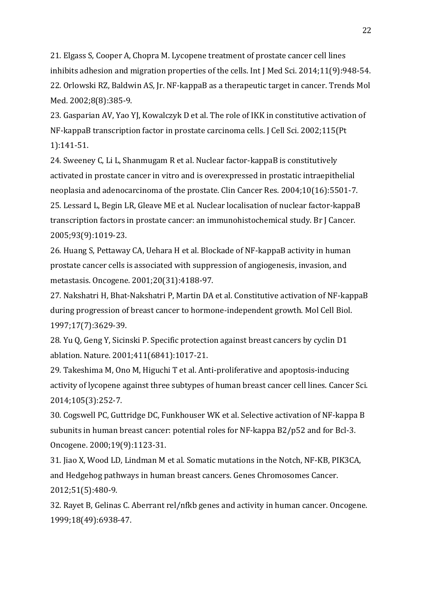<span id="page-21-0"></span>21. Elgass S, Cooper A, Chopra M. Lycopene treatment of prostate cancer cell lines inhibits adhesion and migration properties of the cells. Int J Med Sci. 2014;11(9):948-54. 22. Orlowski RZ, Baldwin AS, Jr. NF-kappaB as a therapeutic target in cancer. Trends Mol Med. 2002;8(8):385-9.

<span id="page-21-2"></span><span id="page-21-1"></span>23. Gasparian AV, Yao YJ, Kowalczyk D et al. The role of IKK in constitutive activation of NF-kappaB transcription factor in prostate carcinoma cells. J Cell Sci. 2002;115(Pt 1):141-51.

<span id="page-21-4"></span><span id="page-21-3"></span>24. Sweeney C, Li L, Shanmugam R et al. Nuclear factor-kappaB is constitutively activated in prostate cancer in vitro and is overexpressed in prostatic intraepithelial neoplasia and adenocarcinoma of the prostate. Clin Cancer Res. 2004;10(16):5501-7. 25. Lessard L, Begin LR, Gleave ME et al. Nuclear localisation of nuclear factor-kappaB transcription factors in prostate cancer: an immunohistochemical study. Br J Cancer. 2005;93(9):1019-23.

<span id="page-21-5"></span>26. Huang S, Pettaway CA, Uehara H et al. Blockade of NF-kappaB activity in human prostate cancer cells is associated with suppression of angiogenesis, invasion, and metastasis. Oncogene. 2001;20(31):4188-97.

<span id="page-21-6"></span>27. Nakshatri H, Bhat-Nakshatri P, Martin DA et al. Constitutive activation of NF-kappaB during progression of breast cancer to hormone-independent growth. Mol Cell Biol. 1997;17(7):3629-39.

<span id="page-21-7"></span>28. Yu Q, Geng Y, Sicinski P. Specific protection against breast cancers by cyclin D1 ablation. Nature. 2001;411(6841):1017-21.

<span id="page-21-8"></span>29. Takeshima M, Ono M, Higuchi T et al. Anti-proliferative and apoptosis-inducing activity of lycopene against three subtypes of human breast cancer cell lines. Cancer Sci. 2014;105(3):252-7.

<span id="page-21-9"></span>30. Cogswell PC, Guttridge DC, Funkhouser WK et al. Selective activation of NF-kappa B subunits in human breast cancer: potential roles for NF-kappa B2/p52 and for Bcl-3. Oncogene. 2000;19(9):1123-31.

<span id="page-21-10"></span>31. Jiao X, Wood LD, Lindman M et al. Somatic mutations in the Notch, NF-KB, PIK3CA, and Hedgehog pathways in human breast cancers. Genes Chromosomes Cancer. 2012;51(5):480-9.

<span id="page-21-11"></span>32. Rayet B, Gelinas C. Aberrant rel/nfkb genes and activity in human cancer. Oncogene. 1999;18(49):6938-47.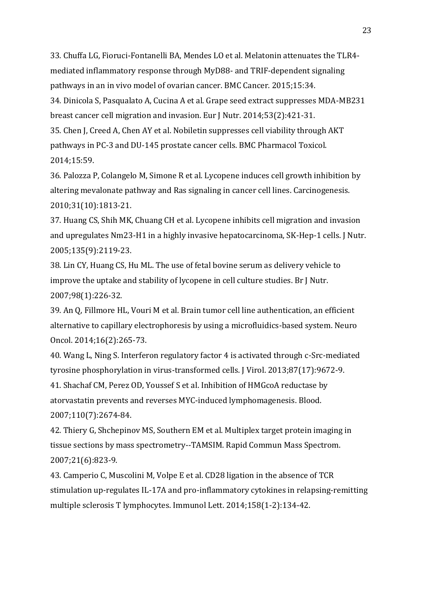<span id="page-22-0"></span>33. Chuffa LG, Fioruci-Fontanelli BA, Mendes LO et al. Melatonin attenuates the TLR4 mediated inflammatory response through MyD88- and TRIF-dependent signaling pathways in an in vivo model of ovarian cancer. BMC Cancer. 2015;15:34.

<span id="page-22-1"></span>34. Dinicola S, Pasqualato A, Cucina A et al. Grape seed extract suppresses MDA-MB231 breast cancer cell migration and invasion. Eur J Nutr. 2014;53(2):421-31.

<span id="page-22-2"></span>35. Chen J, Creed A, Chen AY et al. Nobiletin suppresses cell viability through AKT pathways in PC-3 and DU-145 prostate cancer cells. BMC Pharmacol Toxicol. 2014;15:59.

<span id="page-22-3"></span>36. Palozza P, Colangelo M, Simone R et al. Lycopene induces cell growth inhibition by altering mevalonate pathway and Ras signaling in cancer cell lines. Carcinogenesis. 2010;31(10):1813-21.

<span id="page-22-4"></span>37. Huang CS, Shih MK, Chuang CH et al. Lycopene inhibits cell migration and invasion and upregulates Nm23-H1 in a highly invasive hepatocarcinoma, SK-Hep-1 cells. J Nutr. 2005;135(9):2119-23.

<span id="page-22-5"></span>38. Lin CY, Huang CS, Hu ML. The use of fetal bovine serum as delivery vehicle to improve the uptake and stability of lycopene in cell culture studies. Br J Nutr. 2007;98(1):226-32.

<span id="page-22-6"></span>39. An Q, Fillmore HL, Vouri M et al. Brain tumor cell line authentication, an efficient alternative to capillary electrophoresis by using a microfluidics-based system. Neuro Oncol. 2014;16(2):265-73.

<span id="page-22-7"></span>40. Wang L, Ning S. Interferon regulatory factor 4 is activated through c-Src-mediated tyrosine phosphorylation in virus-transformed cells. J Virol. 2013;87(17):9672-9.

<span id="page-22-8"></span>41. Shachaf CM, Perez OD, Youssef S et al. Inhibition of HMGcoA reductase by atorvastatin prevents and reverses MYC-induced lymphomagenesis. Blood. 2007;110(7):2674-84.

<span id="page-22-9"></span>42. Thiery G, Shchepinov MS, Southern EM et al. Multiplex target protein imaging in tissue sections by mass spectrometry--TAMSIM. Rapid Commun Mass Spectrom. 2007;21(6):823-9.

<span id="page-22-10"></span>43. Camperio C, Muscolini M, Volpe E et al. CD28 ligation in the absence of TCR stimulation up-regulates IL-17A and pro-inflammatory cytokines in relapsing-remitting multiple sclerosis T lymphocytes. Immunol Lett. 2014;158(1-2):134-42.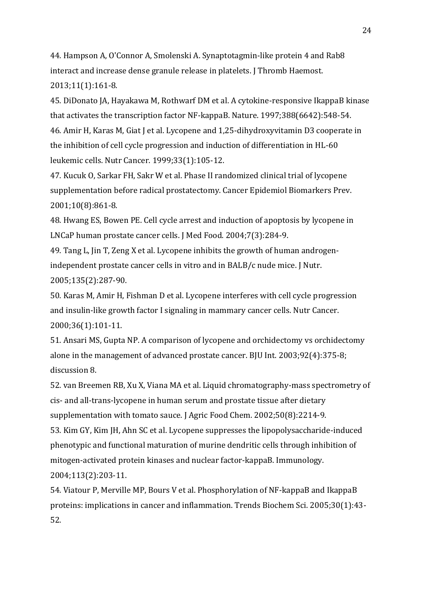<span id="page-23-0"></span>44. Hampson A, O'Connor A, Smolenski A. Synaptotagmin-like protein 4 and Rab8 interact and increase dense granule release in platelets. J Thromb Haemost. 2013;11(1):161-8.

<span id="page-23-1"></span>45. DiDonato JA, Hayakawa M, Rothwarf DM et al. A cytokine-responsive IkappaB kinase that activates the transcription factor NF-kappaB. Nature. 1997;388(6642):548-54. 46. Amir H, Karas M, Giat J et al. Lycopene and 1,25-dihydroxyvitamin D3 cooperate in the inhibition of cell cycle progression and induction of differentiation in HL-60

<span id="page-23-2"></span>leukemic cells. Nutr Cancer. 1999;33(1):105-12.

47. Kucuk O, Sarkar FH, Sakr W et al. Phase II randomized clinical trial of lycopene supplementation before radical prostatectomy. Cancer Epidemiol Biomarkers Prev. 2001;10(8):861-8.

<span id="page-23-3"></span>48. Hwang ES, Bowen PE. Cell cycle arrest and induction of apoptosis by lycopene in LNCaP human prostate cancer cells. J Med Food. 2004;7(3):284-9.

<span id="page-23-4"></span>49. Tang L, Jin T, Zeng X et al. Lycopene inhibits the growth of human androgenindependent prostate cancer cells in vitro and in BALB/c nude mice. J Nutr. 2005;135(2):287-90.

<span id="page-23-5"></span>50. Karas M, Amir H, Fishman D et al. Lycopene interferes with cell cycle progression and insulin-like growth factor I signaling in mammary cancer cells. Nutr Cancer. 2000;36(1):101-11.

<span id="page-23-6"></span>51. Ansari MS, Gupta NP. A comparison of lycopene and orchidectomy vs orchidectomy alone in the management of advanced prostate cancer. BJU Int. 2003;92(4):375-8; discussion 8.

<span id="page-23-8"></span><span id="page-23-7"></span>52. van Breemen RB, Xu X, Viana MA et al. Liquid chromatography-mass spectrometry of cis- and all-trans-lycopene in human serum and prostate tissue after dietary supplementation with tomato sauce. J Agric Food Chem. 2002;50(8):2214-9. 53. Kim GY, Kim JH, Ahn SC et al. Lycopene suppresses the lipopolysaccharide-induced phenotypic and functional maturation of murine dendritic cells through inhibition of mitogen-activated protein kinases and nuclear factor-kappaB. Immunology. 2004;113(2):203-11.

<span id="page-23-9"></span>54. Viatour P, Merville MP, Bours V et al. Phosphorylation of NF-kappaB and IkappaB proteins: implications in cancer and inflammation. Trends Biochem Sci. 2005;30(1):43- 52.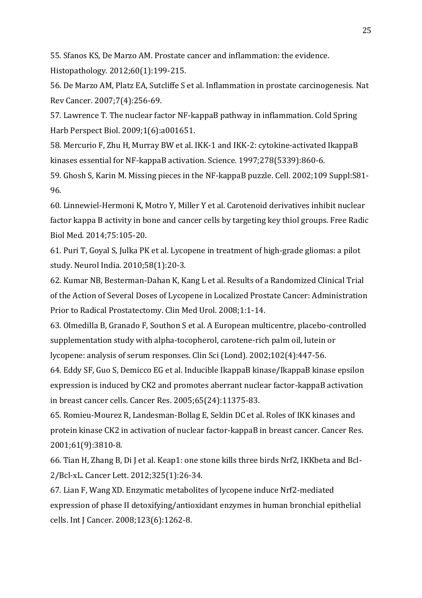<span id="page-24-0"></span>55. Sfanos KS, De Marzo AM. Prostate cancer and inflammation: the evidence. Histopathology. 2012;60(1):199-215.

<span id="page-24-1"></span>56. De Marzo AM, Platz EA, Sutcliffe S et al. Inflammation in prostate carcinogenesis. Nat Rev Cancer. 2007;7(4):256-69.

<span id="page-24-2"></span>57. Lawrence T. The nuclear factor NF-kappaB pathway in inflammation. Cold Spring Harb Perspect Biol. 2009;1(6):a001651.

58. Mercurio F, Zhu H, Murray BW et al. IKK-1 and IKK-2: cytokine-activated IkappaB kinases essential for NF-kappaB activation. Science. 1997;278(5339):860-6.

59. Ghosh S, Karin M. Missing pieces in the NF-kappaB puzzle. Cell. 2002;109 Suppl:S81- 96.

<span id="page-24-5"></span>60. Linnewiel-Hermoni K, Motro Y, Miller Y et al. Carotenoid derivatives inhibit nuclear factor kappa B activity in bone and cancer cells by targeting key thiol groups. Free Radic Biol Med. 2014;75:105-20.

<span id="page-24-8"></span>61. Puri T, Goyal S, Julka PK et al. Lycopene in treatment of high-grade gliomas: a pilot study. Neurol India. 2010;58(1):20-3.

<span id="page-24-9"></span>62. Kumar NB, Besterman-Dahan K, Kang L et al. Results of a Randomized Clinical Trial of the Action of Several Doses of Lycopene in Localized Prostate Cancer: Administration Prior to Radical Prostatectomy. Clin Med Urol. 2008;1:1-14.

<span id="page-24-10"></span>63. Olmedilla B, Granado F, Southon S et al. A European multicentre, placebo-controlled supplementation study with alpha-tocopherol, carotene-rich palm oil, lutein or

lycopene: analysis of serum responses. Clin Sci (Lond). 2002;102(4):447-56.

<span id="page-24-3"></span>64. Eddy SF, Guo S, Demicco EG et al. Inducible IkappaB kinase/IkappaB kinase epsilon expression is induced by CK2 and promotes aberrant nuclear factor-kappaB activation in breast cancer cells. Cancer Res. 2005;65(24):11375-83.

<span id="page-24-4"></span>65. Romieu-Mourez R, Landesman-Bollag E, Seldin DC et al. Roles of IKK kinases and protein kinase CK2 in activation of nuclear factor-kappaB in breast cancer. Cancer Res. 2001;61(9):3810-8.

<span id="page-24-6"></span>66. Tian H, Zhang B, Di J et al. Keap1: one stone kills three birds Nrf2, IKKbeta and Bcl-2/Bcl-xL. Cancer Lett. 2012;325(1):26-34.

<span id="page-24-7"></span>67. Lian F, Wang XD. Enzymatic metabolites of lycopene induce Nrf2-mediated expression of phase II detoxifying/antioxidant enzymes in human bronchial epithelial cells. Int J Cancer. 2008;123(6):1262-8.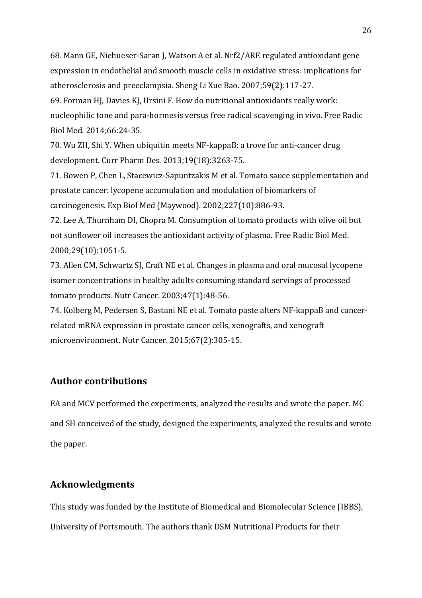68. Mann GE, Niehueser-Saran J, Watson A et al. Nrf2/ARE regulated antioxidant gene expression in endothelial and smooth muscle cells in oxidative stress: implications for atherosclerosis and preeclampsia. Sheng Li Xue Bao. 2007;59(2):117-27.

<span id="page-25-0"></span>69. Forman HJ, Davies KJ, Ursini F. How do nutritional antioxidants really work: nucleophilic tone and para-hormesis versus free radical scavenging in vivo. Free Radic Biol Med. 2014;66:24-35.

<span id="page-25-1"></span>70. Wu ZH, Shi Y. When ubiquitin meets NF-kappaB: a trove for anti-cancer drug development. Curr Pharm Des. 2013;19(18):3263-75.

<span id="page-25-2"></span>71. Bowen P, Chen L, Stacewicz-Sapuntzakis M et al. Tomato sauce supplementation and prostate cancer: lycopene accumulation and modulation of biomarkers of carcinogenesis. Exp Biol Med (Maywood). 2002;227(10):886-93.

<span id="page-25-3"></span>72. Lee A, Thurnham DI, Chopra M. Consumption of tomato products with olive oil but not sunflower oil increases the antioxidant activity of plasma. Free Radic Biol Med. 2000;29(10):1051-5.

<span id="page-25-4"></span>73. Allen CM, Schwartz SJ, Craft NE et al. Changes in plasma and oral mucosal lycopene isomer concentrations in healthy adults consuming standard servings of processed tomato products. Nutr Cancer. 2003;47(1):48-56.

<span id="page-25-5"></span>74. Kolberg M, Pedersen S, Bastani NE et al. Tomato paste alters NF-kappaB and cancerrelated mRNA expression in prostate cancer cells, xenografts, and xenograft microenvironment. Nutr Cancer. 2015;67(2):305-15.

### **Author contributions**

EA and MCV performed the experiments, analyzed the results and wrote the paper. MC and SH conceived of the study, designed the experiments, analyzed the results and wrote the paper.

## **Acknowledgments**

This study was funded by the Institute of Biomedical and Biomolecular Science (IBBS), University of Portsmouth. The authors thank DSM Nutritional Products for their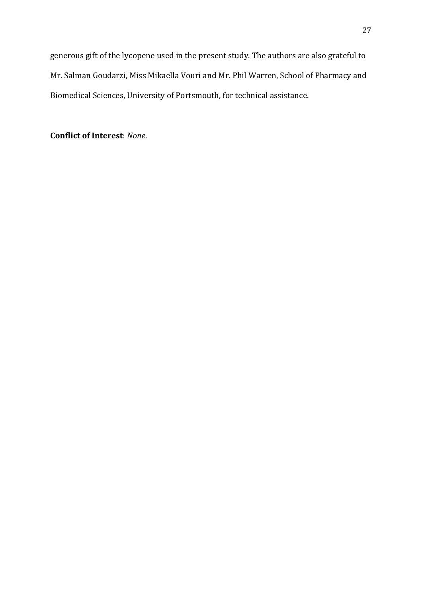generous gift of the lycopene used in the present study. The authors are also grateful to Mr. Salman Goudarzi, Miss Mikaella Vouri and Mr. Phil Warren, School of Pharmacy and Biomedical Sciences, University of Portsmouth, for technical assistance.

**Conflict of Interest**: *None*.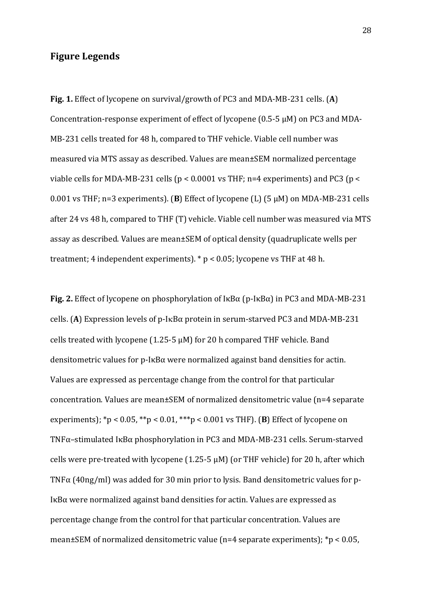### **Figure Legends**

**Fig. 1.** Effect of lycopene on survival/growth of PC3 and MDA-MB-231 cells. (**A**) Concentration-response experiment of effect of lycopene (0.5-5 μM) on PC3 and MDA-MB-231 cells treated for 48 h, compared to THF vehicle. Viable cell number was measured via MTS assay as described. Values are mean±SEM normalized percentage viable cells for MDA-MB-231 cells ( $p < 0.0001$  vs THF; n=4 experiments) and PC3 ( $p <$ 0.001 vs THF; n=3 experiments). (**B**) Effect of lycopene (L) (5 μM) on MDA-MB-231 cells after 24 vs 48 h, compared to THF (T) vehicle. Viable cell number was measured via MTS assay as described. Values are mean±SEM of optical density (quadruplicate wells per treatment; 4 independent experiments). \* p < 0.05; lycopene vs THF at 48 h.

**Fig. 2.** Effect of lycopene on phosphorylation of IκBα (p-IκBα) in PC3 and MDA-MB-231 cells. (A) Expression levels of p-I $\kappa$ B $\alpha$  protein in serum-starved PC3 and MDA-MB-231 cells treated with lycopene (1.25-5 μM) for 20 h compared THF vehicle. Band densitometric values for p-IκBα were normalized against band densities for actin. Values are expressed as percentage change from the control for that particular concentration. Values are mean±SEM of normalized densitometric value (n=4 separate experiments); \*p < 0.05, \*\*p < 0.01, \*\*\*p < 0.001 vs THF). (**B**) Effect of lycopene on TNFα–stimulated IκBα phosphorylation in PC3 and MDA-MB-231 cells. Serum-starved cells were pre-treated with lycopene  $(1.25-5 \mu M)$  (or THF vehicle) for 20 h, after which TNFα (40ng/ml) was added for 30 min prior to lysis. Band densitometric values for p-IκBα were normalized against band densities for actin. Values are expressed as percentage change from the control for that particular concentration. Values are mean±SEM of normalized densitometric value (n=4 separate experiments); \*p < 0.05,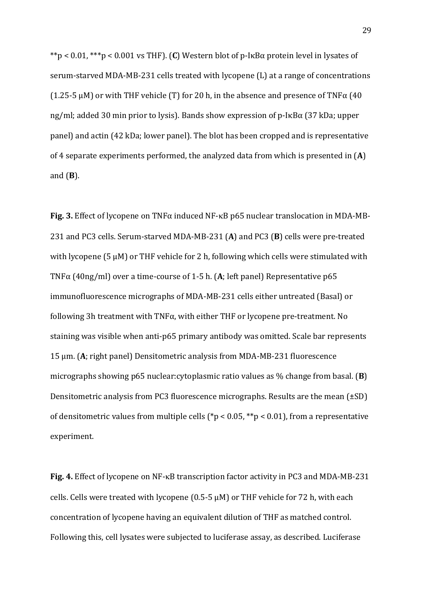\*\*p < 0.01, \*\*\*p < 0.001 vs THF). (**C**) Western blot of p-IκBα protein level in lysates of serum-starved MDA-MB-231 cells treated with lycopene (L) at a range of concentrations (1.25-5  $\mu$ M) or with THF vehicle (T) for 20 h, in the absence and presence of TNF $\alpha$  (40 ng/ml; added 30 min prior to lysis). Bands show expression of p-IκBα (37 kDa; upper panel) and actin (42 kDa; lower panel). The blot has been cropped and is representative of 4 separate experiments performed, the analyzed data from which is presented in (**A**) and (**B**).

Fig. 3. Effect of lycopene on TNFα induced NF-κB p65 nuclear translocation in MDA-MB-231 and PC3 cells. Serum-starved MDA-MB-231 (**A**) and PC3 (**B**) cells were pre-treated with lycopene (5 μM) or THF vehicle for 2 h, following which cells were stimulated with TNFα (40ng/ml) over a time-course of 1-5 h. (**A**; left panel) Representative p65 immunofluorescence micrographs of MDA-MB-231 cells either untreated (Basal) or following 3h treatment with TNFα, with either THF or lycopene pre-treatment. No staining was visible when anti-p65 primary antibody was omitted. Scale bar represents 15 μm. (**A**; right panel) Densitometric analysis from MDA-MB-231 fluorescence micrographs showing p65 nuclear:cytoplasmic ratio values as % change from basal. (**B**) Densitometric analysis from PC3 fluorescence micrographs. Results are the mean (±SD) of densitometric values from multiple cells (\*p < 0.05, \*\*p < 0.01), from a representative experiment.

**Fig. 4.** Effect of lycopene on NF- $\kappa$ B transcription factor activity in PC3 and MDA-MB-231 cells. Cells were treated with lycopene (0.5-5  $\mu$ M) or THF vehicle for 72 h, with each concentration of lycopene having an equivalent dilution of THF as matched control. Following this, cell lysates were subjected to luciferase assay, as described. Luciferase